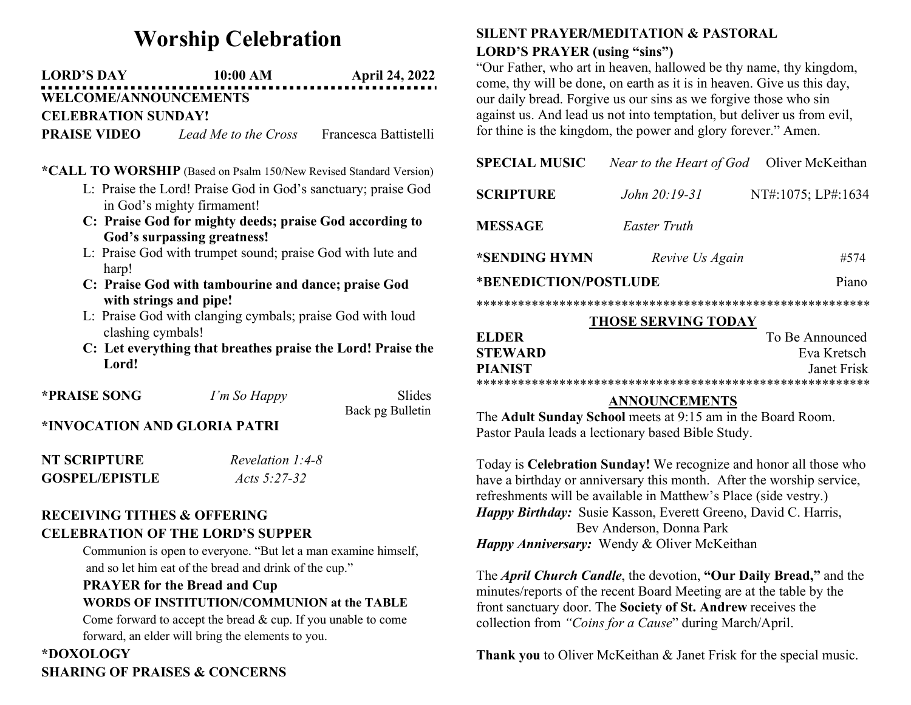# Worship Celebration

## LORD'S DAY 10:00 AM April 24, 2022 WELCOME/ANNOUNCEMENTS

CELEBRATION SUNDAY!

**PRAISE VIDEO** Lead Me to the Cross Francesca Battistelli

#### \*CALL TO WORSHIP (Based on Psalm 150/New Revised Standard Version)

- L: Praise the Lord! Praise God in God's sanctuary; praise God in God's mighty firmament!
- C: Praise God for mighty deeds; praise God according to God's surpassing greatness!
- L: Praise God with trumpet sound; praise God with lute and harp!
- C: Praise God with tambourine and dance; praise God with strings and pipe!
- L: Praise God with clanging cymbals; praise God with loud clashing cymbals!
- C: Let everything that breathes praise the Lord! Praise the Lord!

| *PRAISE SONG | I'm So Happy | Slides           |
|--------------|--------------|------------------|
|              |              | Dock no Pullatin |

Back pg Bulletin

## \*INVOCATION AND GLORIA PATRI

| NT SCRIPTURE          | Revelation 1:4-8 |
|-----------------------|------------------|
| <b>GOSPEL/EPISTLE</b> | Acts 5:27-32     |

### RECEIVING TITHES & OFFERING CELEBRATION OF THE LORD'S SUPPER

Communion is open to everyone. "But let a man examine himself, and so let him eat of the bread and drink of the cup."

## PRAYER for the Bread and Cup WORDS OF INSTITUTION/COMMUNION at the TABLE

Come forward to accept the bread & cup. If you unable to come forward, an elder will bring the elements to you.

## \*DOXOLOGY SHARING OF PRAISES & CONCERNS

## SILENT PRAYER/MEDITATION & PASTORAL LORD'S PRAYER (using "sins")

"Our Father, who art in heaven, hallowed be thy name, thy kingdom, come, thy will be done, on earth as it is in heaven. Give us this day, our daily bread. Forgive us our sins as we forgive those who sin against us. And lead us not into temptation, but deliver us from evil, for thine is the kingdom, the power and glory forever." Amen.

| <b>SPECIAL MUSIC</b>       | Near to the Heart of God | Oliver McKeithan   |  |  |
|----------------------------|--------------------------|--------------------|--|--|
| <b>SCRIPTURE</b>           | John 20:19-31            | NT#:1075; LP#:1634 |  |  |
| <b>MESSAGE</b>             | Easter Truth             |                    |  |  |
| *SENDING HYMN              | Revive Us Again          | #574               |  |  |
| *BENEDICTION/POSTLUDE      |                          | Piano              |  |  |
|                            |                          |                    |  |  |
| <b>THOSE SERVING TODAY</b> |                          |                    |  |  |
| <b>ELDER</b>               |                          | To Be Announced    |  |  |
| <b>STEWARD</b>             |                          | Eva Kretsch        |  |  |
| <b>PIANIST</b>             |                          | Janet Frisk        |  |  |

## \*\*\*\*\*\*\*\*\*\*\*\*\*\*\*\*\*\*\*\*\*\*\*\*\*\*\*\*\*\*\*\*\*\*\*\*\*\*\*\*\*\*\*\*\*\*\*\*\*\*\*\*\*\*\*\*\* ANNOUNCEMENTS

The Adult Sunday School meets at 9:15 am in the Board Room. Pastor Paula leads a lectionary based Bible Study.

Today is Celebration Sunday! We recognize and honor all those who have a birthday or anniversary this month. After the worship service, refreshments will be available in Matthew's Place (side vestry.) Happy Birthday: Susie Kasson, Everett Greeno, David C. Harris, Bev Anderson, Donna Park Happy Anniversary: Wendy & Oliver McKeithan

The *April Church Candle*, the devotion, "Our Daily Bread," and the minutes/reports of the recent Board Meeting are at the table by the front sanctuary door. The Society of St. Andrew receives the collection from "Coins for a Cause" during March/April.

Thank you to Oliver McKeithan & Janet Frisk for the special music.